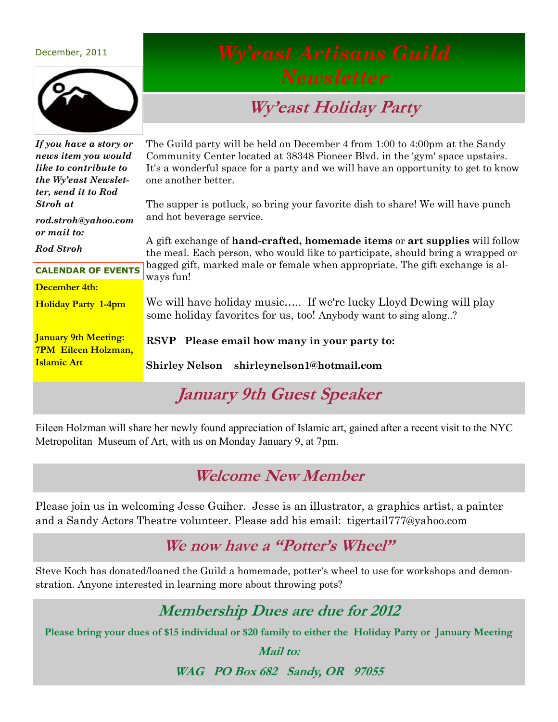#### December, 2011



# **Wy'east Holiday Party**

| If you have a story or                                    | The Guild party will be held on December 4 from 1:00 to 4:00pm at the Sandy                                                         |  |
|-----------------------------------------------------------|-------------------------------------------------------------------------------------------------------------------------------------|--|
| news item you would                                       | Community Center located at 38348 Pioneer Blvd. in the 'gym' space upstairs.                                                        |  |
| like to contribute to                                     | It's a wonderful space for a party and we will have an opportunity to get to know                                                   |  |
| the Wy'east Newslet-                                      | one another better.                                                                                                                 |  |
| ter, send it to Rod                                       |                                                                                                                                     |  |
| Stroh at                                                  | The supper is potluck, so bring your favorite dish to share! We will have punch                                                     |  |
| rod.stroh@yahoo.com                                       | and hot beverage service.                                                                                                           |  |
| or mail to:                                               | A gift exchange of <b>hand-crafted, homemade items</b> or <b>art supplies</b> will follow                                           |  |
| <b>Rod Stroh</b>                                          | the meal. Each person, who would like to participate, should bring a wrapped or                                                     |  |
| <b>CALENDAR OF EVENTS</b>                                 | bagged gift, marked male or female when appropriate. The gift exchange is al-<br>ways fun!                                          |  |
| December 4th:                                             |                                                                                                                                     |  |
| <b>Holiday Party 1-4pm</b>                                | We will have holiday music If we're lucky Lloyd Dewing will play<br>some holiday favorites for us, too! Anybody want to sing along? |  |
| <b>January 9th Meeting:</b><br><b>7PM Eileen Holzman,</b> | Please email how many in your party to:<br><b>RSVP</b>                                                                              |  |
| <b>Islamic Art</b>                                        | Shirley Nelson shirleynelson1@hotmail.com                                                                                           |  |
| January 9th Guest Speaker                                 |                                                                                                                                     |  |

Eileen Holzman will share her newly found appreciation of Islamic art, gained after a recent visit to the NYC Metropolitan Museum of Art, with us on Monday January 9, at 7pm.

#### **Welcome New Member**

Please join us in welcoming Jesse Guiher. Jesse is an illustrator, a graphics artist, a painter and a Sandy Actors Theatre volunteer. Please add his email: tigertail777@yahoo.com

#### **We now have a "Potter's Wheel"**

Steve Koch has donated/loaned the Guild a homemade, potter's wheel to use for workshops and demonstration. Anyone interested in learning more about throwing pots?

## **Membership Dues are due for 2012**

**Please bring your dues of \$15 individual or \$20 family to either the Holiday Party or January Meeting**

**Mail to:**

**WAG PO Box 682 Sandy, OR 97055**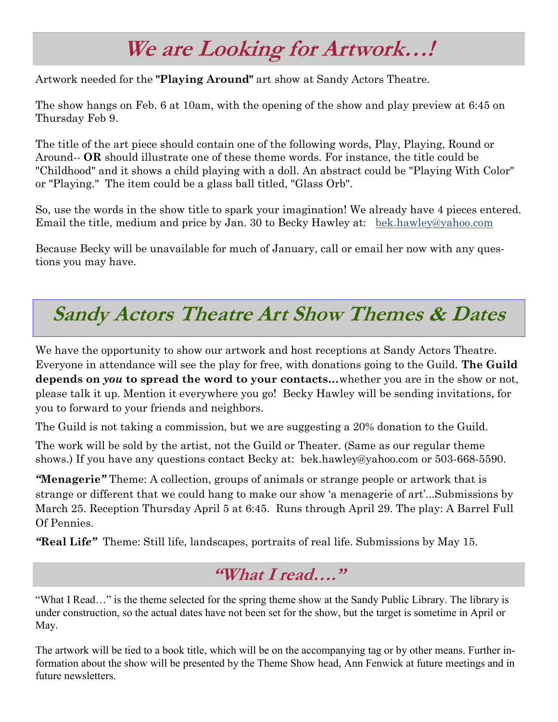# **We are Looking for Artwork…!**

Artwork needed for the **"Playing Around"** art show at Sandy Actors Theatre.

The show hangs on Feb. 6 at 10am, with the opening of the show and play preview at 6:45 on Thursday Feb 9.

The title of the art piece should contain one of the following words, Play, Playing, Round or Around-- **OR** should illustrate one of these theme words. For instance, the title could be "Childhood" and it shows a child playing with a doll. An abstract could be "Playing With Color" or "Playing." The item could be a glass ball titled, "Glass Orb".

So, use the words in the show title to spark your imagination! We already have 4 pieces entered. Email the title, medium and price by Jan. 30 to Becky Hawley at: [bek.hawley@yahoo.com](mailto:bek.hawley@yahoo.com)

Because Becky will be unavailable for much of January, call or email her now with any questions you may have.

# **Sandy Actors Theatre Art Show Themes & Dates**

We have the opportunity to show our artwork and host receptions at Sandy Actors Theatre. Everyone in attendance will see the play for free, with donations going to the Guild. **The Guild depends on** *you* **to spread the word to your contacts…**whether you are in the show or not, please talk it up. Mention it everywhere you go! Becky Hawley will be sending invitations, for you to forward to your friends and neighbors.

The Guild is not taking a commission, but we are suggesting a 20% donation to the Guild.

The work will be sold by the artist, not the Guild or Theater. (Same as our regular theme shows.) If you have any questions contact Becky at: bek.hawley@yahoo.com or 503-668-5590.

*"***Menagerie***"* Theme: A collection, groups of animals or strange people or artwork that is strange or different that we could hang to make our show 'a menagerie of art'...Submissions by March 25. Reception Thursday April 5 at 6:45. Runs through April 29. The play: A Barrel Full Of Pennies.

*"***Real Lif***e"* Theme: Still life, landscapes, portraits of real life. Submissions by May 15.

## **"What I read…."**

"What I Read…" is the theme selected for the spring theme show at the Sandy Public Library. The library is under construction, so the actual dates have not been set for the show, but the target is sometime in April or May.

The artwork will be tied to a book title, which will be on the accompanying tag or by other means. Further information about the show will be presented by the Theme Show head, Ann Fenwick at future meetings and in future newsletters.